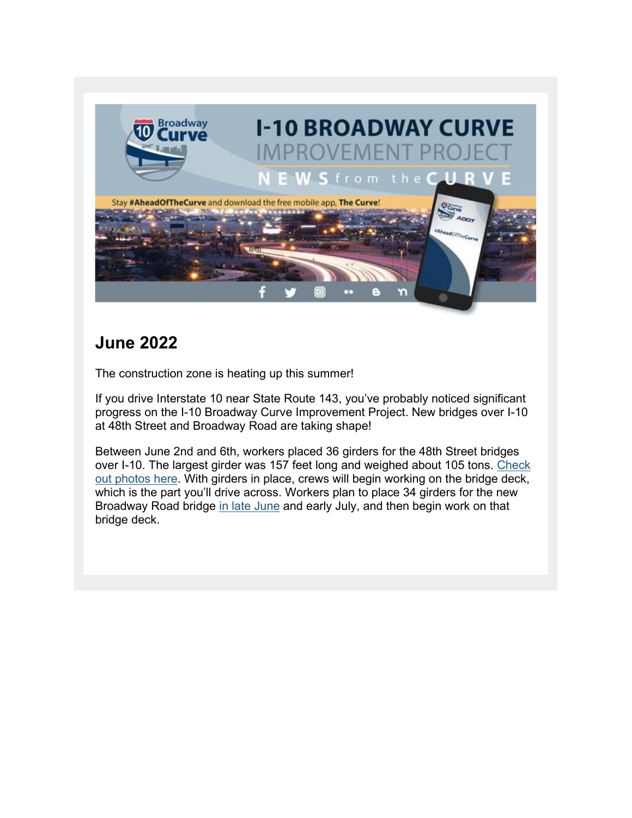

## **June 2022**

The construction zone is heating up this summer!

If you drive Interstate 10 near State Route 143, you've probably noticed significant progress on the I-10 Broadway Curve Improvement Project. New bridges over I-10 at 48th Street and Broadway Road are taking shape!

Between June 2nd and 6th, workers placed 36 girders for the 48th Street bridges over I-10. The largest girder was 157 feet long and weighed about 105 tons. [Check](https://lnks.gd/l/eyJhbGciOiJIUzI1NiJ9.eyJidWxsZXRpbl9saW5rX2lkIjoxMDAsInVyaSI6ImJwMjpjbGljayIsImJ1bGxldGluX2lkIjoiMjAyMjA2MjAuNTk2NDMyMDEiLCJ1cmwiOiJodHRwczovL3d3dy5mbGlja3IuY29tL3Bob3Rvcy9hcml6b25hZG90L2FsYnVtcy83MjE3NzcyMDI5ODIxMTMwOSJ9.o35VT8m-vl12qwr7SCiEpDjw8DXqX2WaTd1yfM8zA6g/s/980238369/br/133319006220-l)  [out photos here.](https://lnks.gd/l/eyJhbGciOiJIUzI1NiJ9.eyJidWxsZXRpbl9saW5rX2lkIjoxMDAsInVyaSI6ImJwMjpjbGljayIsImJ1bGxldGluX2lkIjoiMjAyMjA2MjAuNTk2NDMyMDEiLCJ1cmwiOiJodHRwczovL3d3dy5mbGlja3IuY29tL3Bob3Rvcy9hcml6b25hZG90L2FsYnVtcy83MjE3NzcyMDI5ODIxMTMwOSJ9.o35VT8m-vl12qwr7SCiEpDjw8DXqX2WaTd1yfM8zA6g/s/980238369/br/133319006220-l) With girders in place, crews will begin working on the bridge deck, which is the part you'll drive across. Workers plan to place 34 girders for the new Broadway Road bridge [in late June](https://lnks.gd/l/eyJhbGciOiJIUzI1NiJ9.eyJidWxsZXRpbl9saW5rX2lkIjoxMDEsInVyaSI6ImJwMjpjbGljayIsImJ1bGxldGluX2lkIjoiMjAyMjA2MjAuNTk2NDMyMDEiLCJ1cmwiOiJodHRwczovL2kxMGJyb2Fkd2F5Y3VydmUuY29tL2FsZXJ0cy8ifQ.yQT26T5dFVMbRo4uUHOVpW-g9hWj5uQgibRtPGZBjh4/s/980238369/br/133319006220-l) and early July, and then begin work on that bridge deck.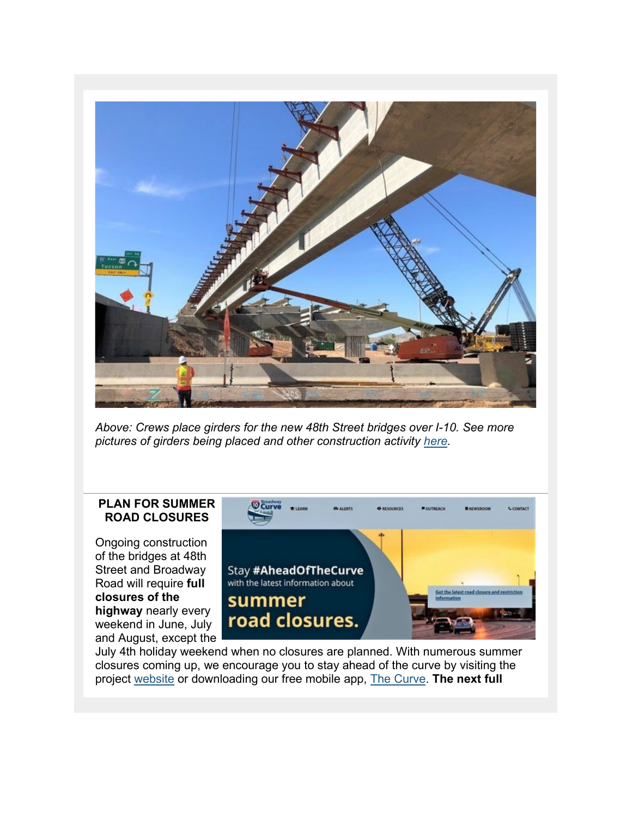

*Above: Crews place girders for the new 48th Street bridges over I-10. See more pictures of girders being placed and other construction activity [here.](https://lnks.gd/l/eyJhbGciOiJIUzI1NiJ9.eyJidWxsZXRpbl9saW5rX2lkIjoxMDIsInVyaSI6ImJwMjpjbGljayIsImJ1bGxldGluX2lkIjoiMjAyMjA2MjAuNTk2NDMyMDEiLCJ1cmwiOiJodHRwczovL3d3dy5mbGlja3IuY29tL3Bob3Rvcy9hcml6b25hZG90L2FsYnVtcy83MjE3NzcyMDI5ODIxMTMwOSJ9.TYuG-1-UhjFMymApg4G-tIUA3g6u5HX9ymzE86bd--w/s/980238369/br/133319006220-l)*

#### **PLAN FOR SUMMER ROAD CLOSURES**

Ongoing construction of the bridges at 48th Street and Broadway Road will require **full closures of the highway** nearly every weekend in June, July and August, except the



July 4th holiday weekend when no closures are planned. With numerous summer closures coming up, we encourage you to stay ahead of the curve by visiting the project [website](https://lnks.gd/l/eyJhbGciOiJIUzI1NiJ9.eyJidWxsZXRpbl9saW5rX2lkIjoxMDMsInVyaSI6ImJwMjpjbGljayIsImJ1bGxldGluX2lkIjoiMjAyMjA2MjAuNTk2NDMyMDEiLCJ1cmwiOiJodHRwczovL2kxMGJyb2Fkd2F5Y3VydmUuY29tL2FsZXJ0cy8ifQ.H9g8LNWPp8-2-7NTHJQvDEDyJjXVja-8D90BxXeSLSE/s/980238369/br/133319006220-l) or downloading our free mobile app, [The Curve.](https://lnks.gd/l/eyJhbGciOiJIUzI1NiJ9.eyJidWxsZXRpbl9saW5rX2lkIjoxMDQsInVyaSI6ImJwMjpjbGljayIsImJ1bGxldGluX2lkIjoiMjAyMjA2MjAuNTk2NDMyMDEiLCJ1cmwiOiJodHRwczovL2kxMGJyb2Fkd2F5Y3VydmUuY29tL21vYmlsZS1hcHBsaWNhdGlvbi1wcml2YWN5LXBvbGljeS8ifQ.H9PbGTMZkGSlZCxXG5N1YUUn4mBlulZSxdzvJBETkv8/s/980238369/br/133319006220-l) **The next full**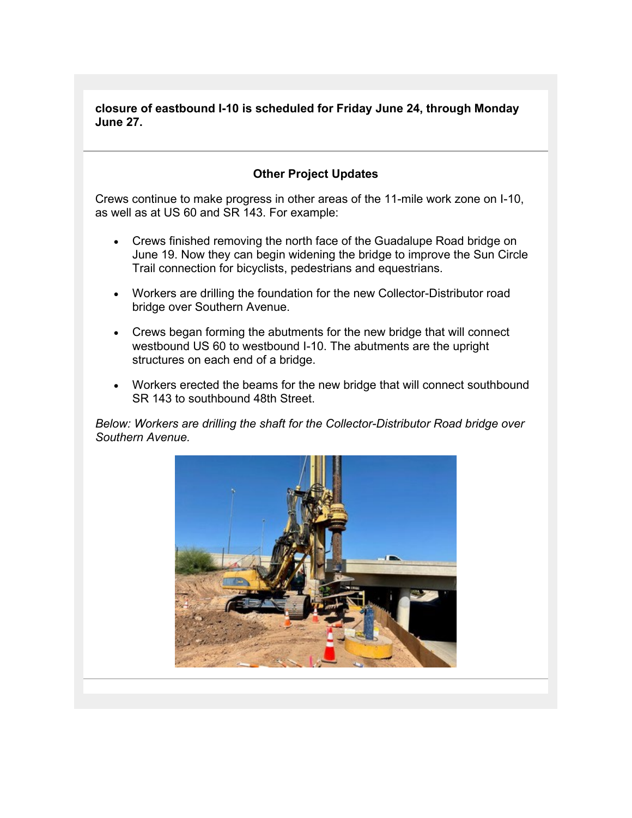**closure of eastbound I-10 is scheduled for Friday June 24, through Monday June 27.**

### **Other Project Updates**

Crews continue to make progress in other areas of the 11-mile work zone on I-10, as well as at US 60 and SR 143. For example:

- Crews finished removing the north face of the Guadalupe Road bridge on June 19. Now they can begin widening the bridge to improve the Sun Circle Trail connection for bicyclists, pedestrians and equestrians.
- Workers are drilling the foundation for the new Collector-Distributor road bridge over Southern Avenue.
- Crews began forming the abutments for the new bridge that will connect westbound US 60 to westbound I-10. The abutments are the upright structures on each end of a bridge.
- Workers erected the beams for the new bridge that will connect southbound SR 143 to southbound 48th Street.

*Below: Workers are drilling the shaft for the Collector-Distributor Road bridge over Southern Avenue.*

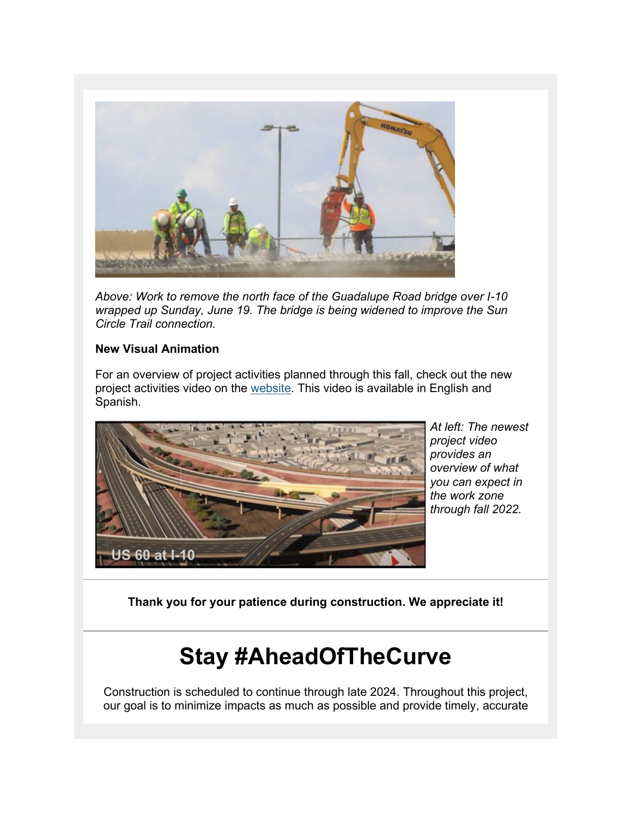

*Above: Work to remove the north face of the Guadalupe Road bridge over I-10 wrapped up Sunday, June 19. The bridge is being widened to improve the Sun Circle Trail connection.*

#### **New Visual Animation**

For an overview of project activities planned through this fall, check out the new project activities video on the [website.](https://lnks.gd/l/eyJhbGciOiJIUzI1NiJ9.eyJidWxsZXRpbl9saW5rX2lkIjoxMDUsInVyaSI6ImJwMjpjbGljayIsImJ1bGxldGluX2lkIjoiMjAyMjA2MjAuNTk2NDMyMDEiLCJ1cmwiOiJodHRwczovL2kxMGJyb2Fkd2F5Y3VydmUuY29tL3ZpZGVvcy8ifQ.2X9_1wzp0Y0NWoCUgwWVCjsfHEEaQM0Ae7j6uN46nxs/s/980238369/br/133319006220-l) This video is available in English and Spanish.



*At left: The newest project video provides an overview of what you can expect in the work zone through fall 2022.*

**Thank you for your patience during construction. We appreciate it!**

# **Stay #AheadOfTheCurve**

Construction is scheduled to continue through late 2024. Throughout this project, our goal is to minimize impacts as much as possible and provide timely, accurate